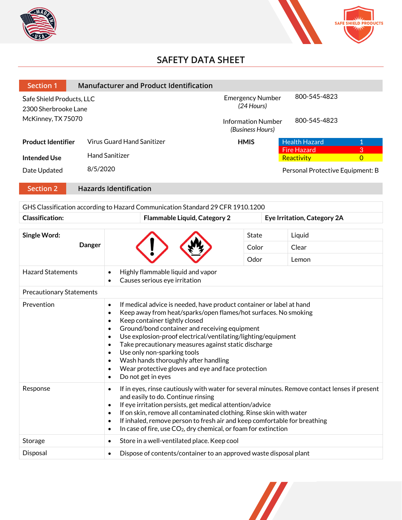



# **SAFETY DATA SHEET**

| <b>Section 1</b>                                  | <b>Manufacturer and Product Identification</b>             |                                         |                                           |                |
|---------------------------------------------------|------------------------------------------------------------|-----------------------------------------|-------------------------------------------|----------------|
| Safe Shield Products, LLC<br>2300 Sherbrooke Lane |                                                            | <b>Emergency Number</b><br>$(24$ Hours) | 800-545-4823                              |                |
| McKinney, TX 75070                                |                                                            | (Business Hours)                        | 800-545-4823<br><b>Information Number</b> |                |
| <b>Product Identifier</b>                         | <b>Virus Guard Hand Sanitizer</b>                          | <b>HMIS</b>                             | <b>Health Hazard</b>                      | 1              |
|                                                   | <b>Hand Sanitizer</b>                                      |                                         | <b>Fire Hazard</b>                        | 3              |
| <b>Intended Use</b>                               |                                                            |                                         | Reactivity                                | $\overline{0}$ |
| Date Updated                                      | 8/5/2020                                                   |                                         | Personal Protective Equipment: B          |                |
| $\mathcal{L}$ . The same $\mathcal{L}$            | the contract of the set $\alpha$ and $\alpha$ and $\alpha$ |                                         |                                           |                |

#### **Section 2 Hazards Identification**

| GHS Classification according to Hazard Communication Standard 29 CFR 1910.1200 |                                                                                                                                                                                                                                                                                                                                                                                                                                                                                                                                                                                                                                         |                                                                   |              |                             |
|--------------------------------------------------------------------------------|-----------------------------------------------------------------------------------------------------------------------------------------------------------------------------------------------------------------------------------------------------------------------------------------------------------------------------------------------------------------------------------------------------------------------------------------------------------------------------------------------------------------------------------------------------------------------------------------------------------------------------------------|-------------------------------------------------------------------|--------------|-----------------------------|
| Classification:                                                                |                                                                                                                                                                                                                                                                                                                                                                                                                                                                                                                                                                                                                                         | Flammable Liquid, Category 2                                      |              | Eye Irritation, Category 2A |
| Single Word:<br><b>Danger</b>                                                  |                                                                                                                                                                                                                                                                                                                                                                                                                                                                                                                                                                                                                                         |                                                                   | <b>State</b> | Liquid                      |
|                                                                                |                                                                                                                                                                                                                                                                                                                                                                                                                                                                                                                                                                                                                                         |                                                                   | Color        | Clear                       |
|                                                                                |                                                                                                                                                                                                                                                                                                                                                                                                                                                                                                                                                                                                                                         |                                                                   | Odor         | Lemon                       |
| <b>Hazard Statements</b>                                                       | Highly flammable liquid and vapor<br>$\bullet$<br>Causes serious eye irritation<br>$\bullet$                                                                                                                                                                                                                                                                                                                                                                                                                                                                                                                                            |                                                                   |              |                             |
| <b>Precautionary Statements</b>                                                |                                                                                                                                                                                                                                                                                                                                                                                                                                                                                                                                                                                                                                         |                                                                   |              |                             |
| Prevention                                                                     | If medical advice is needed, have product container or label at hand<br>$\bullet$<br>Keep away from heat/sparks/open flames/hot surfaces. No smoking<br>$\bullet$<br>Keep container tightly closed<br>$\bullet$<br>Ground/bond container and receiving equipment<br>$\bullet$<br>Use explosion-proof electrical/ventilating/lighting/equipment<br>$\bullet$<br>Take precautionary measures against static discharge<br>$\bullet$<br>Use only non-sparking tools<br>$\bullet$<br>Wash hands thoroughly after handling<br>$\bullet$<br>Wear protective gloves and eye and face protection<br>$\bullet$<br>Do not get in eyes<br>$\bullet$ |                                                                   |              |                             |
| Response                                                                       | If in eyes, rinse cautiously with water for several minutes. Remove contact lenses if present<br>$\bullet$<br>and easily to do. Continue rinsing<br>If eye irritation persists, get medical attention/advice<br>$\bullet$<br>If on skin, remove all contaminated clothing. Rinse skin with water<br>$\bullet$<br>If inhaled, remove person to fresh air and keep comfortable for breathing<br>$\bullet$<br>In case of fire, use CO <sub>2</sub> , dry chemical, or foam for extinction<br>$\bullet$                                                                                                                                     |                                                                   |              |                             |
| Storage                                                                        | Store in a well-ventilated place. Keep cool<br>$\bullet$                                                                                                                                                                                                                                                                                                                                                                                                                                                                                                                                                                                |                                                                   |              |                             |
| Disposal                                                                       | $\bullet$                                                                                                                                                                                                                                                                                                                                                                                                                                                                                                                                                                                                                               | Dispose of contents/container to an approved waste disposal plant |              |                             |
|                                                                                |                                                                                                                                                                                                                                                                                                                                                                                                                                                                                                                                                                                                                                         |                                                                   |              |                             |